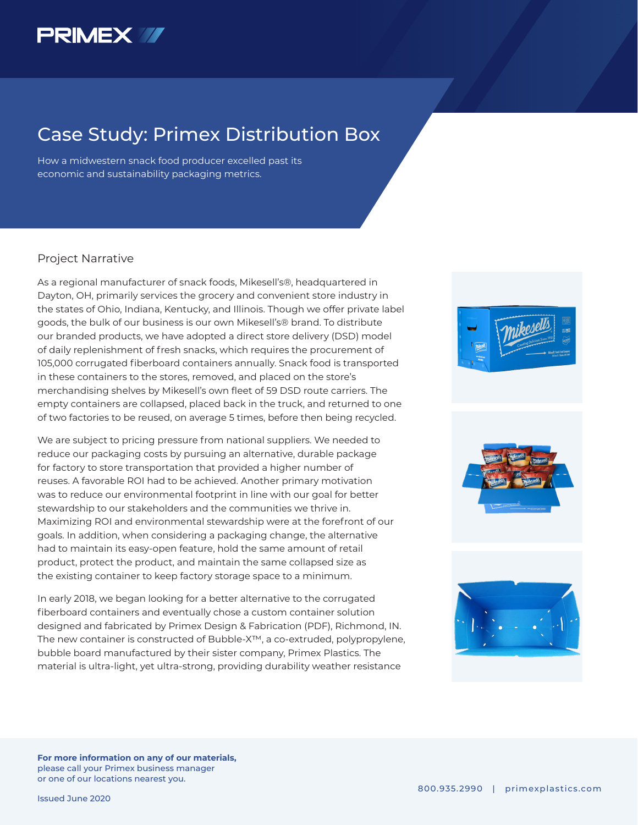

## Case Study: Primex Distribution Box

How a midwestern snack food producer excelled past its economic and sustainability packaging metrics.

### Project Narrative

As a regional manufacturer of snack foods, Mikesell's®, headquartered in Dayton, OH, primarily services the grocery and convenient store industry in the states of Ohio, Indiana, Kentucky, and Illinois. Though we offer private label goods, the bulk of our business is our own Mikesell's® brand. To distribute our branded products, we have adopted a direct store delivery (DSD) model of daily replenishment of fresh snacks, which requires the procurement of 105,000 corrugated fiberboard containers annually. Snack food is transported in these containers to the stores, removed, and placed on the store's merchandising shelves by Mikesell's own fleet of 59 DSD route carriers. The empty containers are collapsed, placed back in the truck, and returned to one of two factories to be reused, on average 5 times, before then being recycled.

We are subject to pricing pressure from national suppliers. We needed to reduce our packaging costs by pursuing an alternative, durable package for factory to store transportation that provided a higher number of reuses. A favorable ROI had to be achieved. Another primary motivation was to reduce our environmental footprint in line with our goal for better stewardship to our stakeholders and the communities we thrive in. Maximizing ROI and environmental stewardship were at the forefront of our goals. In addition, when considering a packaging change, the alternative had to maintain its easy-open feature, hold the same amount of retail product, protect the product, and maintain the same collapsed size as the existing container to keep factory storage space to a minimum.

In early 2018, we began looking for a better alternative to the corrugated fiberboard containers and eventually chose a custom container solution designed and fabricated by Primex Design & Fabrication (PDF), Richmond, IN. The new container is constructed of Bubble-X™, a co-extruded, polypropylene, bubble board manufactured by their sister company, Primex Plastics. The material is ultra-light, yet ultra-strong, providing durability weather resistance







**For more information on any of our materials,**  please call your Primex business manager or one of our locations nearest you.